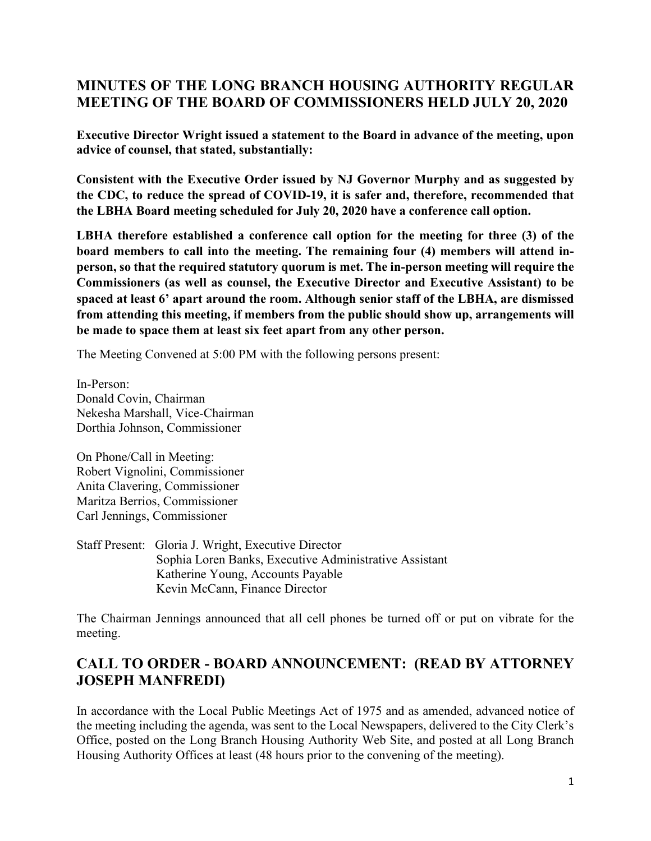# **MINUTES OF THE LONG BRANCH HOUSING AUTHORITY REGULAR MEETING OF THE BOARD OF COMMISSIONERS HELD JULY 20, 2020**

**Executive Director Wright issued a statement to the Board in advance of the meeting, upon advice of counsel, that stated, substantially:** 

**Consistent with the Executive Order issued by NJ Governor Murphy and as suggested by the CDC, to reduce the spread of COVID-19, it is safer and, therefore, recommended that the LBHA Board meeting scheduled for July 20, 2020 have a conference call option.**

**LBHA therefore established a conference call option for the meeting for three (3) of the board members to call into the meeting. The remaining four (4) members will attend inperson, so that the required statutory quorum is met. The in-person meeting will require the Commissioners (as well as counsel, the Executive Director and Executive Assistant) to be spaced at least 6' apart around the room. Although senior staff of the LBHA, are dismissed from attending this meeting, if members from the public should show up, arrangements will be made to space them at least six feet apart from any other person.**

The Meeting Convened at 5:00 PM with the following persons present:

In-Person: Donald Covin, Chairman Nekesha Marshall, Vice-Chairman Dorthia Johnson, Commissioner

On Phone/Call in Meeting: Robert Vignolini, Commissioner Anita Clavering, Commissioner Maritza Berrios, Commissioner Carl Jennings, Commissioner

Staff Present: Gloria J. Wright, Executive Director Sophia Loren Banks, Executive Administrative Assistant Katherine Young, Accounts Payable Kevin McCann, Finance Director

The Chairman Jennings announced that all cell phones be turned off or put on vibrate for the meeting.

# **CALL TO ORDER - BOARD ANNOUNCEMENT: (READ BY ATTORNEY JOSEPH MANFREDI)**

In accordance with the Local Public Meetings Act of 1975 and as amended, advanced notice of the meeting including the agenda, was sent to the Local Newspapers, delivered to the City Clerk's Office, posted on the Long Branch Housing Authority Web Site, and posted at all Long Branch Housing Authority Offices at least (48 hours prior to the convening of the meeting).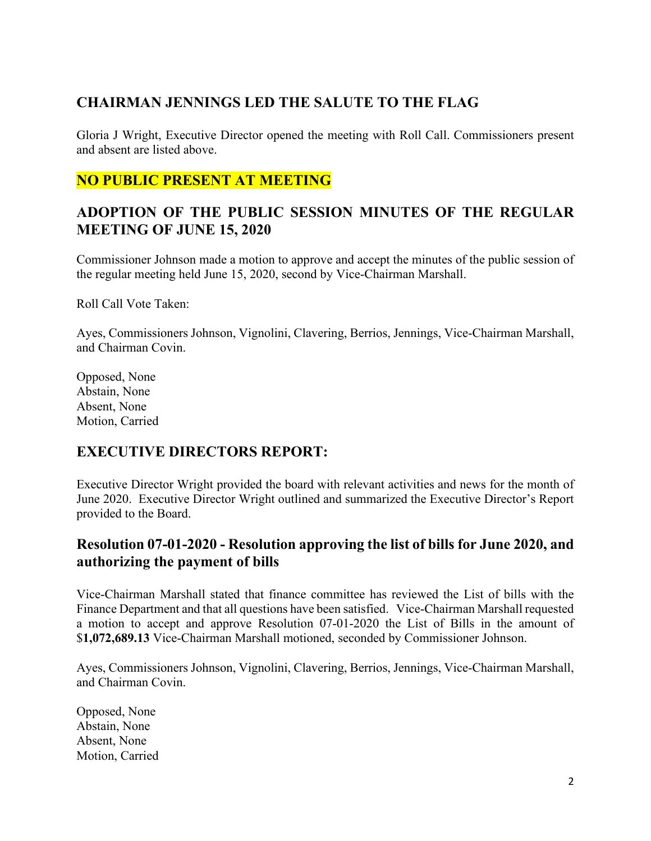# **CHAIRMAN JENNINGS LED THE SALUTE TO THE FLAG**

Gloria J Wright, Executive Director opened the meeting with Roll Call. Commissioners present and absent are listed above.

### **NO PUBLIC PRESENT AT MEETING**

### **ADOPTION OF THE PUBLIC SESSION MINUTES OF THE REGULAR MEETING OF JUNE 15, 2020**

Commissioner Johnson made a motion to approve and accept the minutes of the public session of the regular meeting held June 15, 2020, second by Vice-Chairman Marshall.

Roll Call Vote Taken:

Ayes, Commissioners Johnson, Vignolini, Clavering, Berrios, Jennings, Vice-Chairman Marshall, and Chairman Covin.

Opposed, None Abstain, None Absent, None Motion, Carried

# **EXECUTIVE DIRECTORS REPORT:**

Executive Director Wright provided the board with relevant activities and news for the month of June 2020. Executive Director Wright outlined and summarized the Executive Director's Report provided to the Board.

#### **Resolution 07-01-2020 - Resolution approving the list of bills for June 2020, and authorizing the payment of bills**

Vice-Chairman Marshall stated that finance committee has reviewed the List of bills with the Finance Department and that all questions have been satisfied. Vice-Chairman Marshall requested a motion to accept and approve Resolution 07-01-2020 the List of Bills in the amount of \$**1,072,689.13** Vice-Chairman Marshall motioned, seconded by Commissioner Johnson.

Ayes, Commissioners Johnson, Vignolini, Clavering, Berrios, Jennings, Vice-Chairman Marshall, and Chairman Covin.

Opposed, None Abstain, None Absent, None Motion, Carried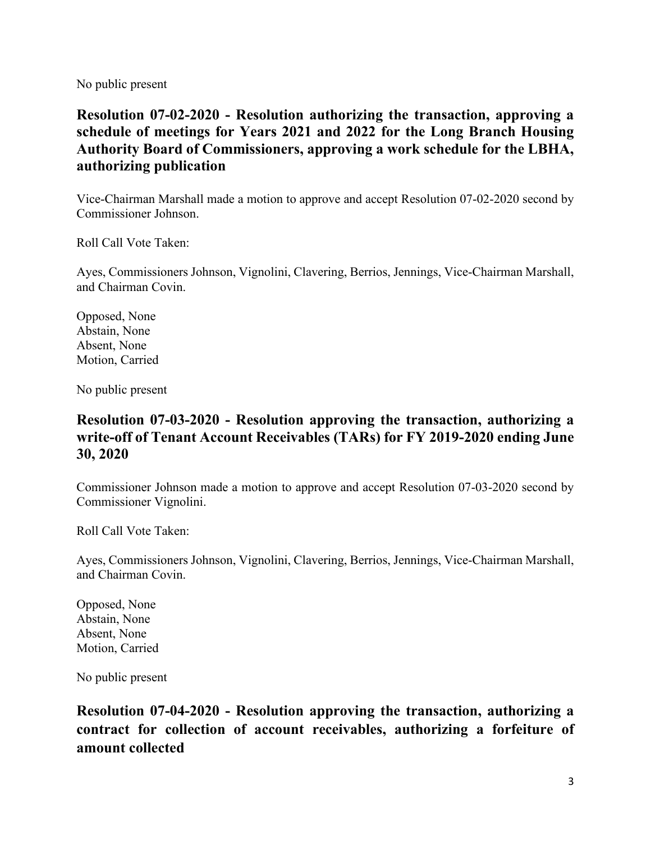No public present

**Resolution 07-02-2020 - Resolution authorizing the transaction, approving a schedule of meetings for Years 2021 and 2022 for the Long Branch Housing Authority Board of Commissioners, approving a work schedule for the LBHA, authorizing publication**

Vice-Chairman Marshall made a motion to approve and accept Resolution 07-02-2020 second by Commissioner Johnson.

Roll Call Vote Taken:

Ayes, Commissioners Johnson, Vignolini, Clavering, Berrios, Jennings, Vice-Chairman Marshall, and Chairman Covin.

Opposed, None Abstain, None Absent, None Motion, Carried

No public present

### **Resolution 07-03-2020 - Resolution approving the transaction, authorizing a write-off of Tenant Account Receivables (TARs) for FY 2019-2020 ending June 30, 2020**

Commissioner Johnson made a motion to approve and accept Resolution 07-03-2020 second by Commissioner Vignolini.

Roll Call Vote Taken:

Ayes, Commissioners Johnson, Vignolini, Clavering, Berrios, Jennings, Vice-Chairman Marshall, and Chairman Covin.

Opposed, None Abstain, None Absent, None Motion, Carried

No public present

**Resolution 07-04-2020 - Resolution approving the transaction, authorizing a contract for collection of account receivables, authorizing a forfeiture of amount collected**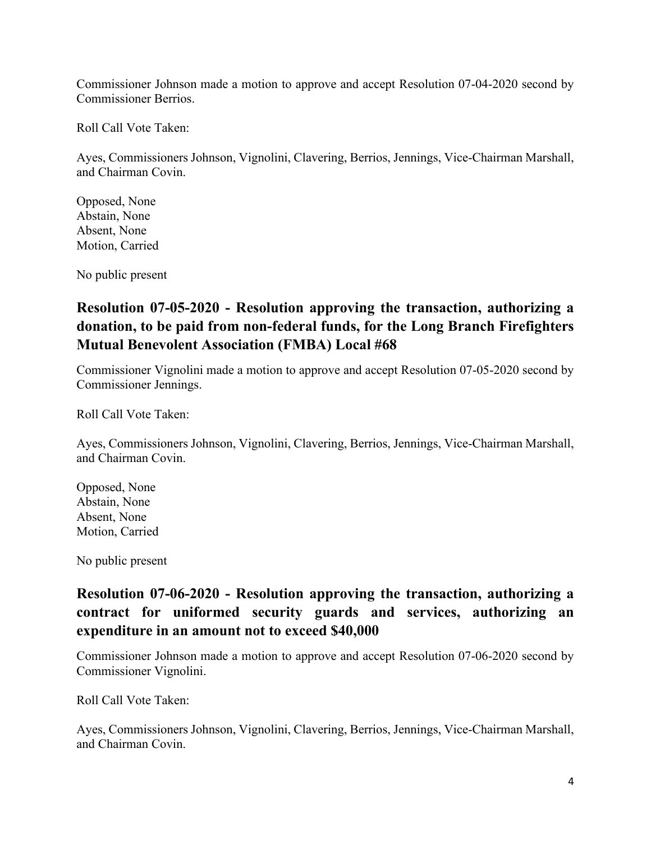Commissioner Johnson made a motion to approve and accept Resolution 07-04-2020 second by Commissioner Berrios.

Roll Call Vote Taken:

Ayes, Commissioners Johnson, Vignolini, Clavering, Berrios, Jennings, Vice-Chairman Marshall, and Chairman Covin.

Opposed, None Abstain, None Absent, None Motion, Carried

No public present

# **Resolution 07-05-2020 - Resolution approving the transaction, authorizing a donation, to be paid from non-federal funds, for the Long Branch Firefighters Mutual Benevolent Association (FMBA) Local #68**

Commissioner Vignolini made a motion to approve and accept Resolution 07-05-2020 second by Commissioner Jennings.

Roll Call Vote Taken:

Ayes, Commissioners Johnson, Vignolini, Clavering, Berrios, Jennings, Vice-Chairman Marshall, and Chairman Covin.

Opposed, None Abstain, None Absent, None Motion, Carried

No public present

## **Resolution 07-06-2020 - Resolution approving the transaction, authorizing a contract for uniformed security guards and services, authorizing an expenditure in an amount not to exceed \$40,000**

Commissioner Johnson made a motion to approve and accept Resolution 07-06-2020 second by Commissioner Vignolini.

Roll Call Vote Taken:

Ayes, Commissioners Johnson, Vignolini, Clavering, Berrios, Jennings, Vice-Chairman Marshall, and Chairman Covin.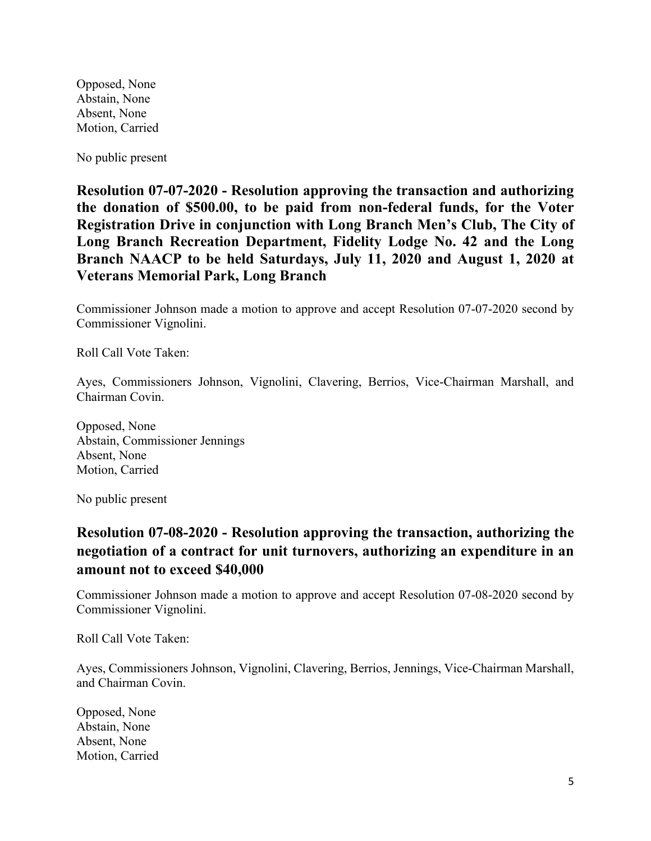Opposed, None Abstain, None Absent, None Motion, Carried

No public present

**Resolution 07-07-2020 - Resolution approving the transaction and authorizing the donation of \$500.00, to be paid from non-federal funds, for the Voter Registration Drive in conjunction with Long Branch Men's Club, The City of Long Branch Recreation Department, Fidelity Lodge No. 42 and the Long Branch NAACP to be held Saturdays, July 11, 2020 and August 1, 2020 at Veterans Memorial Park, Long Branch**

Commissioner Johnson made a motion to approve and accept Resolution 07-07-2020 second by Commissioner Vignolini.

Roll Call Vote Taken:

Ayes, Commissioners Johnson, Vignolini, Clavering, Berrios, Vice-Chairman Marshall, and Chairman Covin.

Opposed, None Abstain, Commissioner Jennings Absent, None Motion, Carried

No public present

### **Resolution 07-08-2020 - Resolution approving the transaction, authorizing the negotiation of a contract for unit turnovers, authorizing an expenditure in an amount not to exceed \$40,000**

Commissioner Johnson made a motion to approve and accept Resolution 07-08-2020 second by Commissioner Vignolini.

Roll Call Vote Taken:

Ayes, Commissioners Johnson, Vignolini, Clavering, Berrios, Jennings, Vice-Chairman Marshall, and Chairman Covin.

Opposed, None Abstain, None Absent, None Motion, Carried